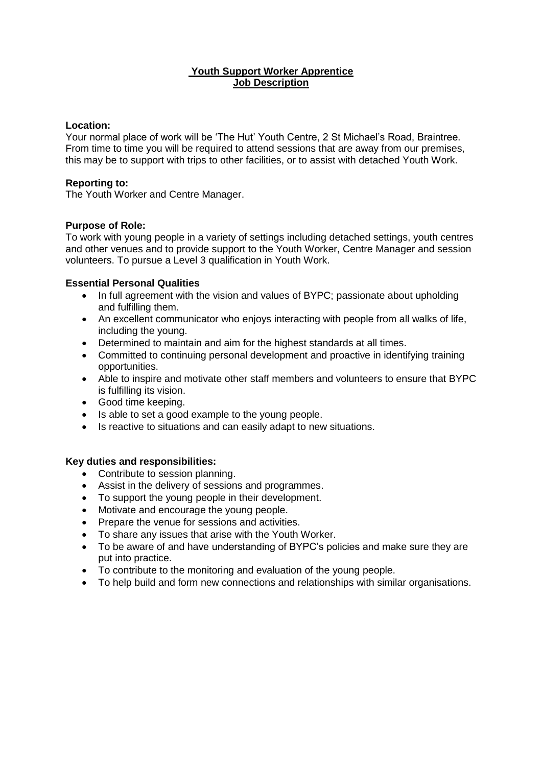## **Youth Support Worker Apprentice Job Description**

#### **Location:**

Your normal place of work will be 'The Hut' Youth Centre, 2 St Michael's Road, Braintree. From time to time you will be required to attend sessions that are away from our premises, this may be to support with trips to other facilities, or to assist with detached Youth Work.

### **Reporting to:**

The Youth Worker and Centre Manager.

#### **Purpose of Role:**

To work with young people in a variety of settings including detached settings, youth centres and other venues and to provide support to the Youth Worker, Centre Manager and session volunteers. To pursue a Level 3 qualification in Youth Work.

## **Essential Personal Qualities**

- In full agreement with the vision and values of BYPC; passionate about upholding and fulfilling them.
- An excellent communicator who enjoys interacting with people from all walks of life, including the young.
- Determined to maintain and aim for the highest standards at all times.
- Committed to continuing personal development and proactive in identifying training opportunities.
- Able to inspire and motivate other staff members and volunteers to ensure that BYPC is fulfilling its vision.
- Good time keeping.
- Is able to set a good example to the young people.
- Is reactive to situations and can easily adapt to new situations.

## **Key duties and responsibilities:**

- Contribute to session planning.
- Assist in the delivery of sessions and programmes.
- To support the young people in their development.
- Motivate and encourage the young people.
- Prepare the venue for sessions and activities.
- To share any issues that arise with the Youth Worker.
- To be aware of and have understanding of BYPC's policies and make sure they are put into practice.
- To contribute to the monitoring and evaluation of the young people.
- To help build and form new connections and relationships with similar organisations.